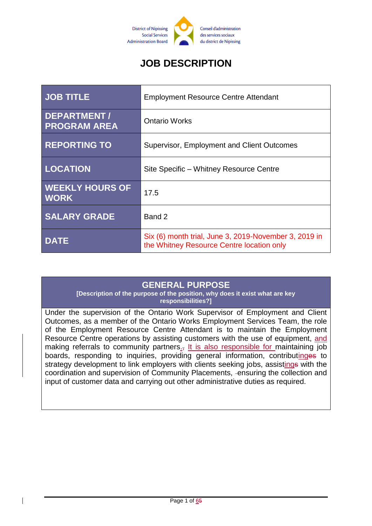

# **JOB DESCRIPTION**

| <b>JOB TITLE</b>                          | <b>Employment Resource Centre Attendant</b>                                                        |
|-------------------------------------------|----------------------------------------------------------------------------------------------------|
| <b>DEPARTMENT/</b><br><b>PROGRAM AREA</b> | <b>Ontario Works</b>                                                                               |
| <b>REPORTING TO</b>                       | Supervisor, Employment and Client Outcomes                                                         |
| <b>LOCATION</b>                           | Site Specific - Whitney Resource Centre                                                            |
| <b>WEEKLY HOURS OF</b><br><b>WORK</b>     | 17.5                                                                                               |
| <b>SALARY GRADE</b>                       | Band 2                                                                                             |
| <b>DATE</b>                               | Six (6) month trial, June 3, 2019-November 3, 2019 in<br>the Whitney Resource Centre location only |

#### **GENERAL PURPOSE**

**[Description of the purpose of the position, why does it exist what are key responsibilities?]**

Under the supervision of the Ontario Work Supervisor of Employment and Client Outcomes, as a member of the Ontario Works Employment Services Team, the role of the Employment Resource Centre Attendant is to maintain the Employment Resource Centre operations by assisting customers with the use of equipment, and making referrals to community partners<sub> $\cdot$ </sub>, It is also responsible for maintaining job boards, responding to inquiries, providing general information, contributinges to strategy development to link employers with clients seeking jobs, assistings with the coordination and supervision of Community Placements, ensuring the collection and input of customer data and carrying out other administrative duties as required.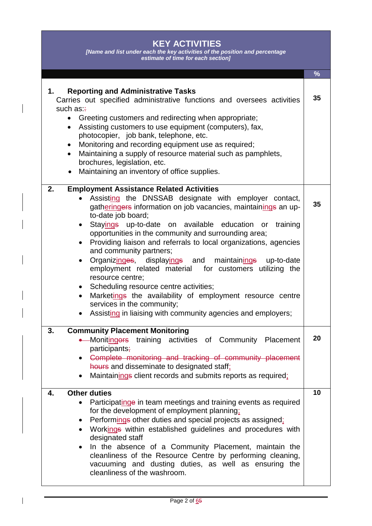## **KEY ACTIVITIES**

*[Name and list under each the key activities of the position and percentage estimate of time for each section]*

|                                                                                                                                                                                                                                                                                                                                                                                                                                                                                                                                                                                                                                                                                                                                                                                                                                                       | $\frac{9}{6}$ |
|-------------------------------------------------------------------------------------------------------------------------------------------------------------------------------------------------------------------------------------------------------------------------------------------------------------------------------------------------------------------------------------------------------------------------------------------------------------------------------------------------------------------------------------------------------------------------------------------------------------------------------------------------------------------------------------------------------------------------------------------------------------------------------------------------------------------------------------------------------|---------------|
| <b>Reporting and Administrative Tasks</b><br>1.<br>Carries out specified administrative functions and oversees activities<br>such as:<br>• Greeting customers and redirecting when appropriate;<br>Assisting customers to use equipment (computers), fax,<br>$\bullet$<br>photocopier, job bank, telephone, etc.<br>Monitoring and recording equipment use as required;<br>$\bullet$<br>Maintaining a supply of resource material such as pamphlets,<br>$\bullet$<br>brochures, legislation, etc.<br>Maintaining an inventory of office supplies.                                                                                                                                                                                                                                                                                                     | 35            |
| 2.<br><b>Employment Assistance Related Activities</b><br>Assisting the DNSSAB designate with employer contact,<br>gatheringers information on job vacancies, maintainings an up-<br>to-date job board;<br>Stayings up-to-date on available education or training<br>$\bullet$<br>opportunities in the community and surrounding area;<br>Providing liaison and referrals to local organizations, agencies<br>$\bullet$<br>and community partners;<br>Organizinges, displayings and maintainings<br>up-to-date<br>$\bullet$<br>employment related material for customers utilizing the<br>resource centre;<br>Scheduling resource centre activities;<br>$\bullet$<br>Marketings the availability of employment resource centre<br>$\bullet$<br>services in the community;<br>Assisting in liaising with community agencies and employers;<br>$\bullet$ | 35            |
| 3.<br><b>Community Placement Monitoring</b><br>• Monitingors training activities of Community Placement<br>participants <del>;</del><br>Complete monitoring and tracking of community placement<br>hours and disseminate to designated staff;<br>Maintainings client records and submits reports as required;<br>$\bullet$                                                                                                                                                                                                                                                                                                                                                                                                                                                                                                                            | 20            |
| <b>Other duties</b><br>4.<br>Participatinge in team meetings and training events as required<br>$\bullet$<br>for the development of employment planning:<br>Performings other duties and special projects as assigned;<br>$\bullet$<br>Workings within established guidelines and procedures with<br>$\bullet$<br>designated staff<br>In the absence of a Community Placement, maintain the<br>$\bullet$<br>cleanliness of the Resource Centre by performing cleaning,<br>vacuuming and dusting duties, as well as ensuring the<br>cleanliness of the washroom.                                                                                                                                                                                                                                                                                       | 10            |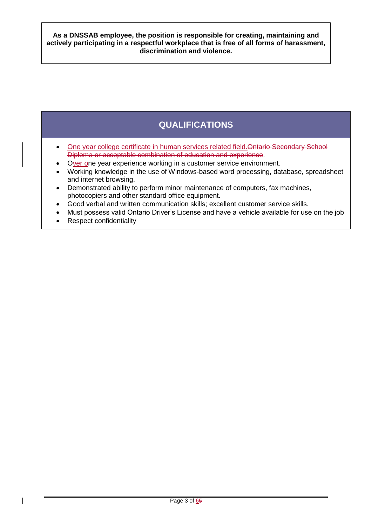**As a DNSSAB employee, the position is responsible for creating, maintaining and actively participating in a respectful workplace that is free of all forms of harassment, discrimination and violence.**

## **QUALIFICATIONS**

- One year college certificate in human services related field.Ontario Secondary School Diploma or acceptable combination of education and experience.
- Over one year experience working in a customer service environment.
- Working knowledge in the use of Windows-based word processing, database, spreadsheet and internet browsing.
- Demonstrated ability to perform minor maintenance of computers, fax machines, photocopiers and other standard office equipment.
- Good verbal and written communication skills; excellent customer service skills.
- Must possess valid Ontario Driver's License and have a vehicle available for use on the job
- Respect confidentiality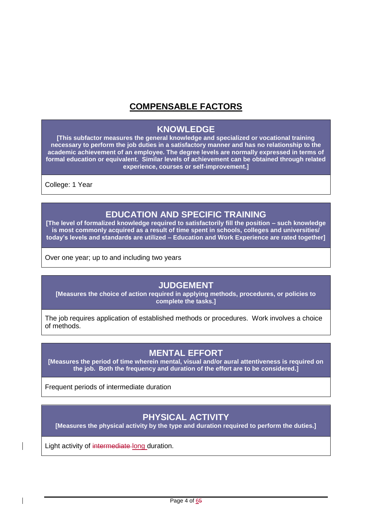## **COMPENSABLE FACTORS**

#### **KNOWLEDGE**

**[This subfactor measures the general knowledge and specialized or vocational training necessary to perform the job duties in a satisfactory manner and has no relationship to the academic achievement of an employee. The degree levels are normally expressed in terms of formal education or equivalent. Similar levels of achievement can be obtained through related experience, courses or self-improvement.]**

College: 1 Year

## **EDUCATION AND SPECIFIC TRAINING**

**[The level of formalized knowledge required to satisfactorily fill the position – such knowledge is most commonly acquired as a result of time spent in schools, colleges and universities/ today's levels and standards are utilized – Education and Work Experience are rated together]**

Over one year; up to and including two years

#### **JUDGEMENT**

**[Measures the choice of action required in applying methods, procedures, or policies to complete the tasks.]**

The job requires application of established methods or procedures. Work involves a choice of methods.

#### **MENTAL EFFORT**

**[Measures the period of time wherein mental, visual and/or aural attentiveness is required on the job. Both the frequency and duration of the effort are to be considered.]**

Frequent periods of intermediate duration

## **PHYSICAL ACTIVITY**

**[Measures the physical activity by the type and duration required to perform the duties.]**

Light activity of intermediate long duration.